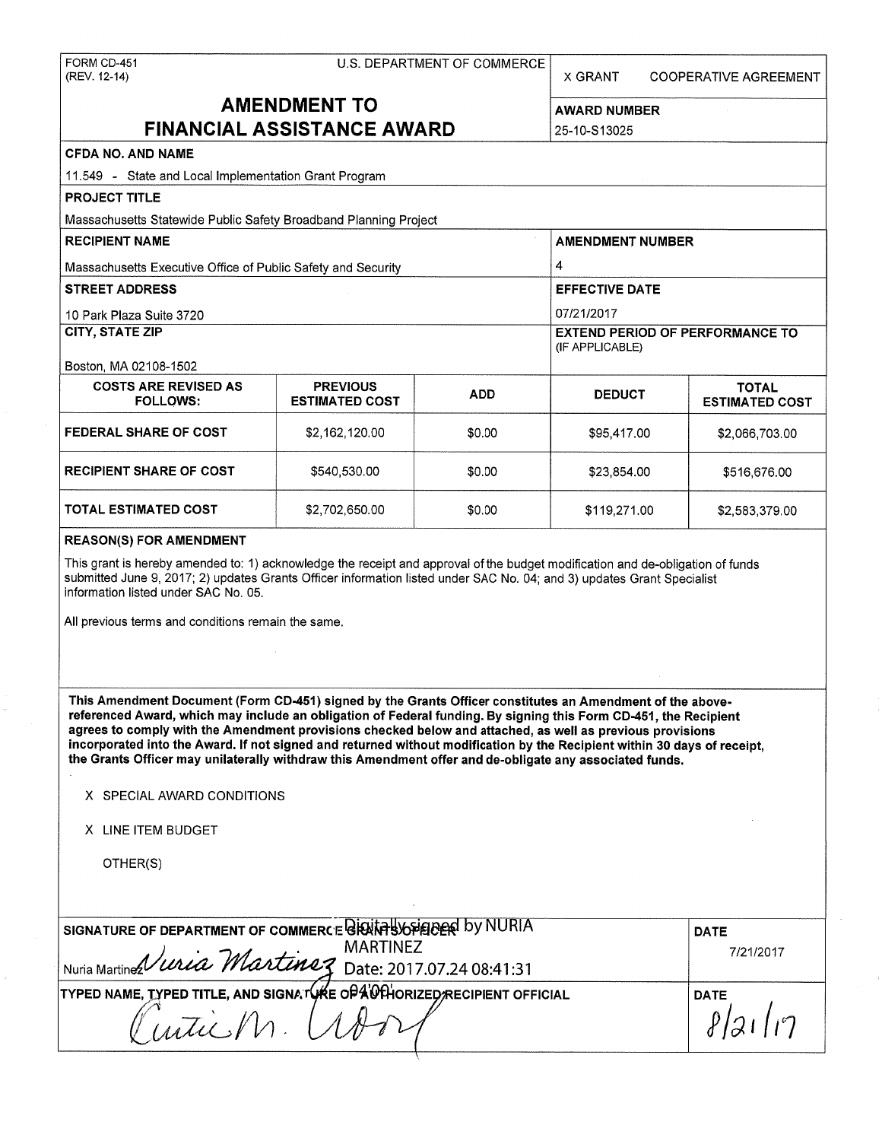| FORM CD-451<br>(REV. 12-14)                                                                                                                                                                                                                                                                                                                                                                                                                                                                                                                                                       | X GRANT                 | <b>COOPERATIVE AGREEMENT</b> |                       |                                        |  |  |  |  |
|-----------------------------------------------------------------------------------------------------------------------------------------------------------------------------------------------------------------------------------------------------------------------------------------------------------------------------------------------------------------------------------------------------------------------------------------------------------------------------------------------------------------------------------------------------------------------------------|-------------------------|------------------------------|-----------------------|----------------------------------------|--|--|--|--|
| <b>AMENDMENT TO</b>                                                                                                                                                                                                                                                                                                                                                                                                                                                                                                                                                               | <b>AWARD NUMBER</b>     |                              |                       |                                        |  |  |  |  |
| <b>FINANCIAL ASSISTANCE AWARD</b>                                                                                                                                                                                                                                                                                                                                                                                                                                                                                                                                                 | 25-10-S13025            |                              |                       |                                        |  |  |  |  |
| CFDA NO. AND NAME                                                                                                                                                                                                                                                                                                                                                                                                                                                                                                                                                                 |                         |                              |                       |                                        |  |  |  |  |
| 11.549 - State and Local Implementation Grant Program                                                                                                                                                                                                                                                                                                                                                                                                                                                                                                                             |                         |                              |                       |                                        |  |  |  |  |
| <b>PROJECT TITLE</b>                                                                                                                                                                                                                                                                                                                                                                                                                                                                                                                                                              |                         |                              |                       |                                        |  |  |  |  |
| Massachusetts Statewide Public Safety Broadband Planning Project                                                                                                                                                                                                                                                                                                                                                                                                                                                                                                                  |                         |                              |                       |                                        |  |  |  |  |
| <b>RECIPIENT NAME</b>                                                                                                                                                                                                                                                                                                                                                                                                                                                                                                                                                             | <b>AMENDMENT NUMBER</b> |                              |                       |                                        |  |  |  |  |
| Massachusetts Executive Office of Public Safety and Security                                                                                                                                                                                                                                                                                                                                                                                                                                                                                                                      |                         |                              | 4                     |                                        |  |  |  |  |
| <b>STREET ADDRESS</b>                                                                                                                                                                                                                                                                                                                                                                                                                                                                                                                                                             |                         |                              | <b>EFFECTIVE DATE</b> |                                        |  |  |  |  |
| 10 Park Plaza Suite 3720                                                                                                                                                                                                                                                                                                                                                                                                                                                                                                                                                          |                         |                              | 07/21/2017            |                                        |  |  |  |  |
| <b>CITY, STATE ZIP</b>                                                                                                                                                                                                                                                                                                                                                                                                                                                                                                                                                            |                         |                              |                       | <b>EXTEND PERIOD OF PERFORMANCE TO</b> |  |  |  |  |
|                                                                                                                                                                                                                                                                                                                                                                                                                                                                                                                                                                                   |                         |                              | (IF APPLICABLE)       |                                        |  |  |  |  |
| Boston, MA 02108-1502<br><b>COSTS ARE REVISED AS</b>                                                                                                                                                                                                                                                                                                                                                                                                                                                                                                                              | <b>PREVIOUS</b>         |                              |                       | <b>TOTAL</b>                           |  |  |  |  |
| <b>FOLLOWS:</b>                                                                                                                                                                                                                                                                                                                                                                                                                                                                                                                                                                   | <b>ESTIMATED COST</b>   | <b>ADD</b>                   | <b>DEDUCT</b>         | <b>ESTIMATED COST</b>                  |  |  |  |  |
| <b>FEDERAL SHARE OF COST</b>                                                                                                                                                                                                                                                                                                                                                                                                                                                                                                                                                      | \$2,162,120,00          | \$0.00                       | \$95,417.00           | \$2,066,703.00                         |  |  |  |  |
| <b>RECIPIENT SHARE OF COST</b>                                                                                                                                                                                                                                                                                                                                                                                                                                                                                                                                                    | \$23,854.00             | \$516,676.00                 |                       |                                        |  |  |  |  |
| <b>TOTAL ESTIMATED COST</b>                                                                                                                                                                                                                                                                                                                                                                                                                                                                                                                                                       | \$0.00                  | \$119,271.00                 | \$2,583,379.00        |                                        |  |  |  |  |
| submitted June 9, 2017; 2) updates Grants Officer information listed under SAC No. 04; and 3) updates Grant Specialist<br>information listed under SAC No. 05.<br>All previous terms and conditions remain the same.                                                                                                                                                                                                                                                                                                                                                              |                         |                              |                       |                                        |  |  |  |  |
| This Amendment Document (Form CD-451) signed by the Grants Officer constitutes an Amendment of the above-<br>referenced Award, which may include an obligation of Federal funding. By signing this Form CD-451, the Recipient<br>agrees to comply with the Amendment provisions checked below and attached, as well as previous provisions<br>incorporated into the Award. If not signed and returned without modification by the Recipient within 30 days of receipt,<br>the Grants Officer may unilaterally withdraw this Amendment offer and de-obligate any associated funds. |                         |                              |                       |                                        |  |  |  |  |
| X SPECIAL AWARD CONDITIONS                                                                                                                                                                                                                                                                                                                                                                                                                                                                                                                                                        |                         |                              |                       |                                        |  |  |  |  |
| X LINE ITEM BUDGET                                                                                                                                                                                                                                                                                                                                                                                                                                                                                                                                                                |                         |                              |                       |                                        |  |  |  |  |
| OTHER(S)                                                                                                                                                                                                                                                                                                                                                                                                                                                                                                                                                                          |                         |                              |                       |                                        |  |  |  |  |
| SIGNATURE OF DEPARTMENT OF COMMERCE BESITE BOSTERS by NURIA<br><b>DATE</b><br><b>MARTINEZ</b>                                                                                                                                                                                                                                                                                                                                                                                                                                                                                     |                         |                              |                       |                                        |  |  |  |  |
| Nuria Martines Vivia Martinez Date: 2017.07.24 08:41:31                                                                                                                                                                                                                                                                                                                                                                                                                                                                                                                           |                         |                              |                       | 7/21/2017                              |  |  |  |  |
| TYPED NAME, TYPED TITLE, AND SIGNATURE OPA UTHORIZED RECIPIENT OFFICIAL                                                                                                                                                                                                                                                                                                                                                                                                                                                                                                           |                         |                              |                       | <b>DATE</b>                            |  |  |  |  |
| nticM                                                                                                                                                                                                                                                                                                                                                                                                                                                                                                                                                                             | l z                     |                              |                       |                                        |  |  |  |  |
|                                                                                                                                                                                                                                                                                                                                                                                                                                                                                                                                                                                   |                         |                              |                       |                                        |  |  |  |  |

 $\bar{\nu}$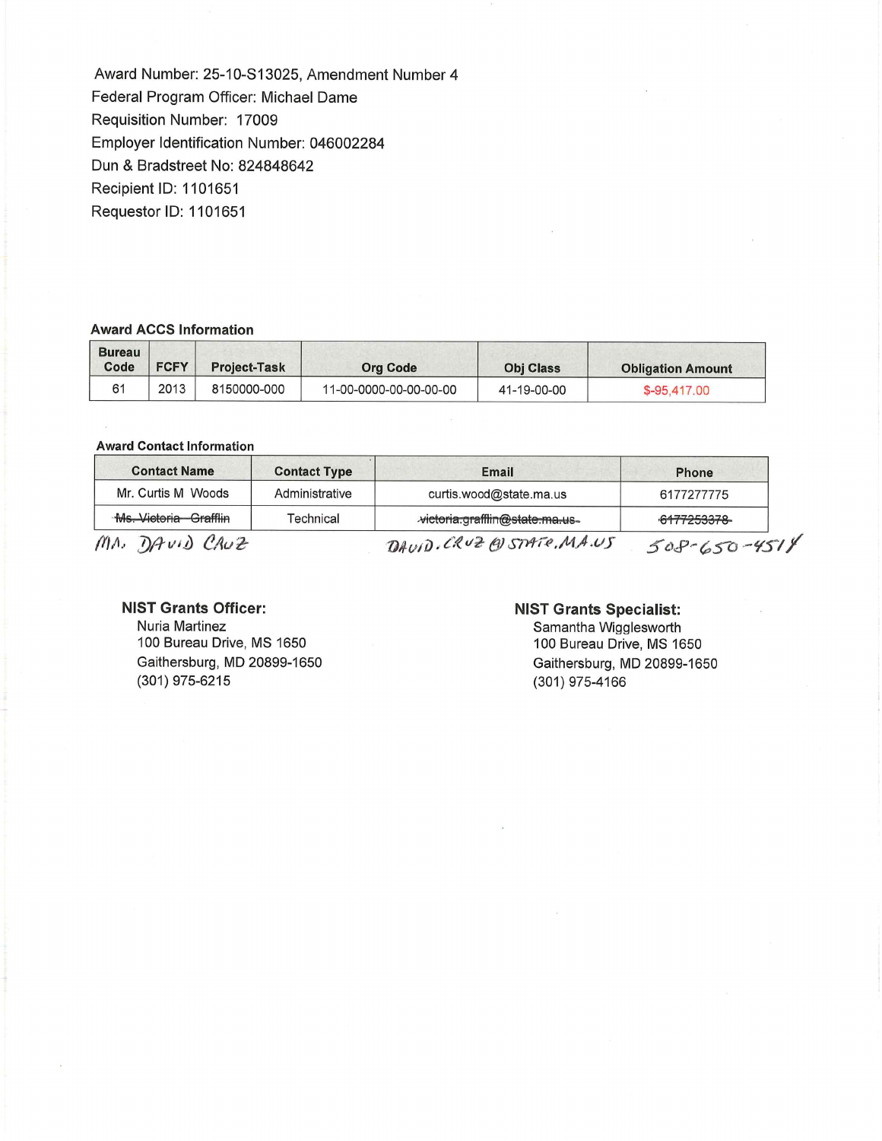Award Number: 25-10-S13025, Amendment Number 4 Federal Program Officer: Michael Dame Requisition Number: 17009 Employer Identification Number: 046002284 Dun & Bradstreet No: 824848642 Recipient ID: 1101651 Requestor ID: 1101651

### **Award ACCS Information**

| <b>Bureau</b><br>Code | <b>FCFY</b> | <b>Project-Task</b> | Org Code               | <b>Obj Class</b> | <b>Obligation Amount</b> |
|-----------------------|-------------|---------------------|------------------------|------------------|--------------------------|
|                       | 2013        | 8150000-000         | 11-00-0000-00-00-00-00 | 41-19-00-00      | \$-95,417.00             |

#### **Award Contact Information**

| <b>Contact Name</b>   | <b>Contact Type</b> | Email                          | <b>Phone</b>       |
|-----------------------|---------------------|--------------------------------|--------------------|
| Mr. Curtis M Woods    | Administrative      | curtis.wood@state.ma.us        | 6177277775         |
| Ms. Victoria Grafflin | Technical           | victoria.grafflin@state.ma.us- | 6177253378         |
| MA. DAVID CRUZ        |                     | DAVID. CRUZ @ STATE, MA.US     | $508 - 650 - 4514$ |

### **NIST Grants Officer:**

Nuria Martinez 100 Bureau Drive, MS 1650 Gaithersburg, MD 20899-1650 (301) 975-6215

### **NIST Grants Specialist:**

Samantha Wigglesworth 100 Bureau Drive, MS 1650 Gaithersburg, MD 20899-1650 (301) 975-4166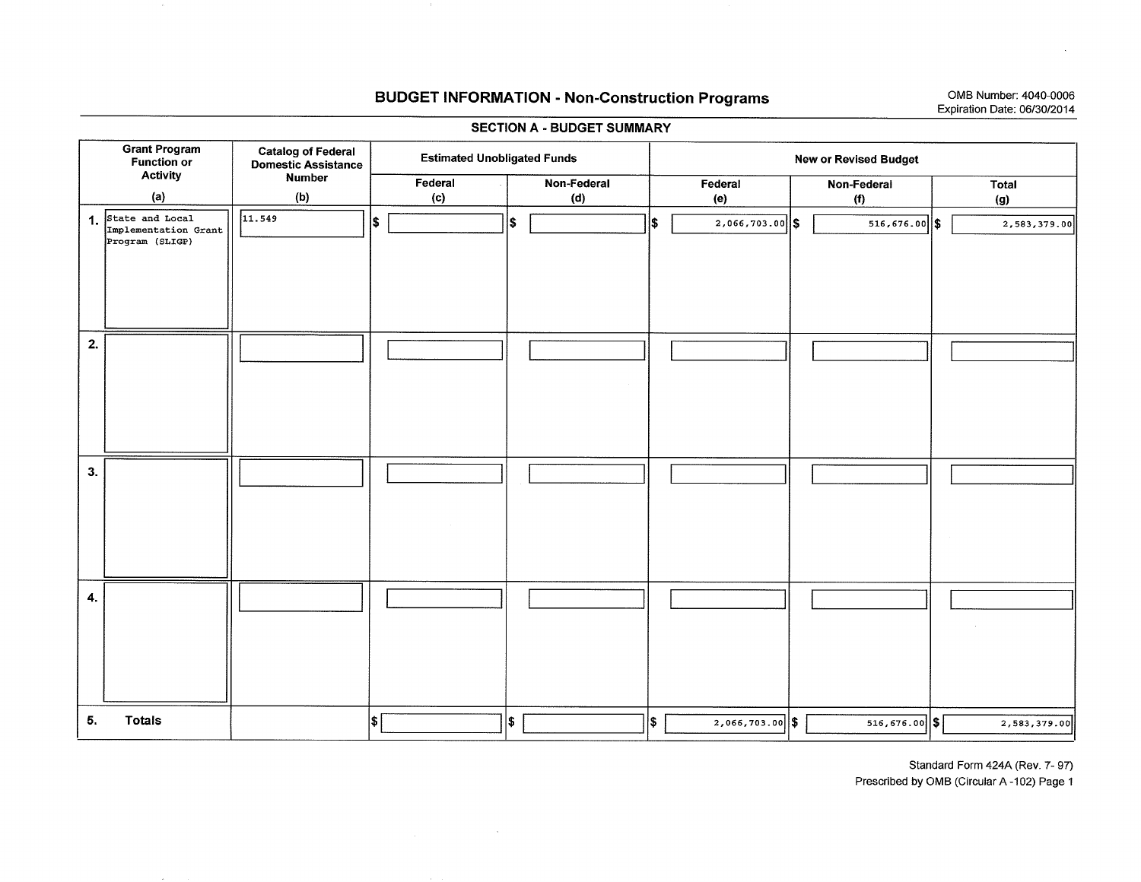# **BUDGET INFORMATION - Non-Construction Programs 1999** OMB Number: 4040-0006

# Expiration Date: 06/30/2014

| <b>SECTION A - BUDGET SUMMARY</b> |                                                               |                                                         |     |                                    |     |                    |  |     |                   |                              |              |
|-----------------------------------|---------------------------------------------------------------|---------------------------------------------------------|-----|------------------------------------|-----|--------------------|--|-----|-------------------|------------------------------|--------------|
|                                   | <b>Grant Program</b><br>Function or<br><b>Activity</b>        | <b>Catalog of Federal</b><br><b>Domestic Assistance</b> |     | <b>Estimated Unobligated Funds</b> |     |                    |  |     |                   | <b>New or Revised Budget</b> |              |
|                                   | (a)                                                           | <b>Number</b><br>(b)                                    |     | Federal<br>(c)                     |     | Non-Federal<br>(d) |  |     | Federal<br>(e)    | Non-Federal<br>(f)           | Total<br>(g) |
|                                   | 1. State and Local<br>Implementation Grant<br>Program (SLIGP) | 11.549                                                  | \$  |                                    | l\$ |                    |  | 1\$ | $2,066,703.00$ \$ | $516, 676.00$ \$             | 2,583,379.00 |
|                                   |                                                               |                                                         |     |                                    |     |                    |  |     |                   |                              |              |
| 2.                                |                                                               |                                                         |     |                                    |     |                    |  |     |                   |                              |              |
| 3.                                |                                                               |                                                         |     |                                    |     |                    |  |     |                   |                              |              |
| 4.                                |                                                               |                                                         |     |                                    |     |                    |  |     |                   |                              |              |
| 5.                                | <b>Totals</b>                                                 |                                                         | l\$ |                                    | \$  |                    |  | \$. | $2,066,703.00$ \$ | $516,676.00$ \$              | 2,583,379.00 |

 $\sim 10^{11}$  eV.

 $\sim 10^{-1}$ 

Standard Form 424A (Rev. 7- 97)

Prescribed by 0MB (Circular A-102) Page 1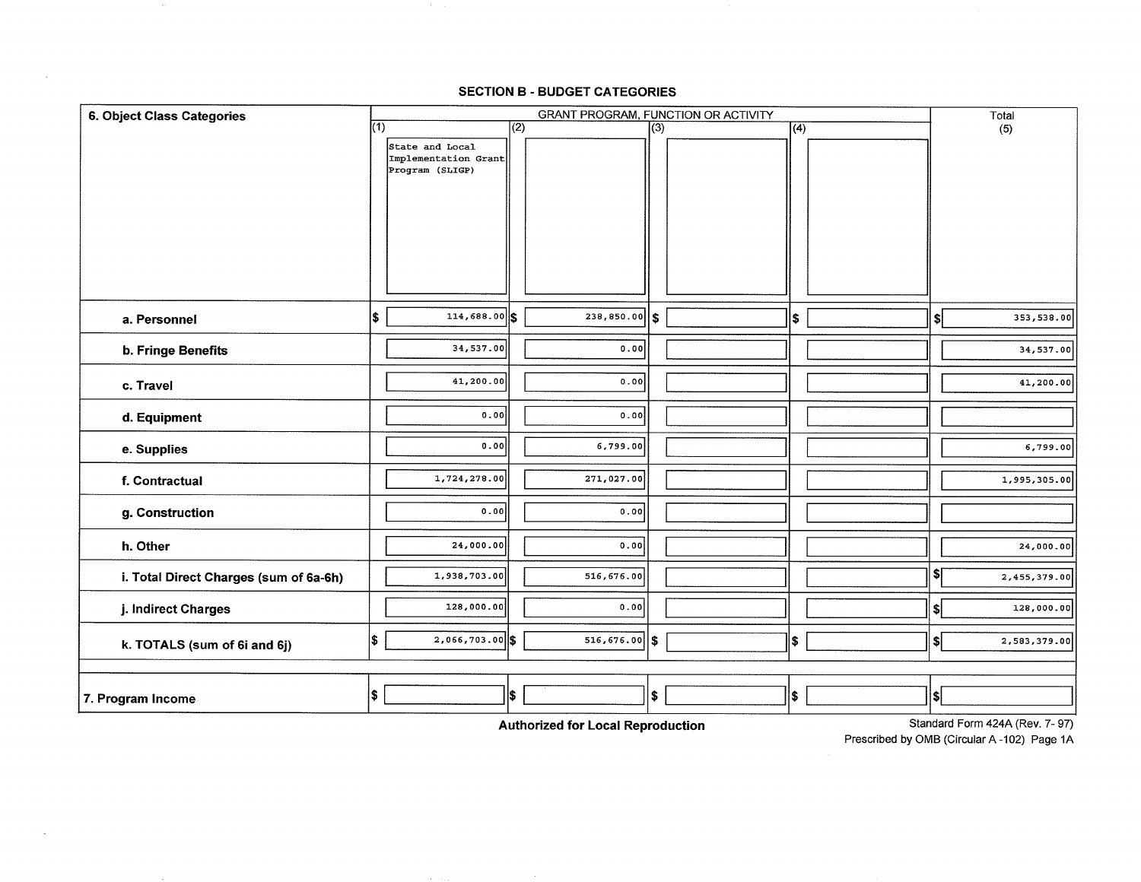### **SECTION B - BUDGET CATEGORIES**

| 6. Object Class Categories             |              |                                         | <b>GRANT PROGRAM, FUNCTION OR ACTIVITY</b> |                  |              |  |                  |    | Total        |
|----------------------------------------|--------------|-----------------------------------------|--------------------------------------------|------------------|--------------|--|------------------|----|--------------|
|                                        | $\sqrt{(1)}$ |                                         | $\overline{(2)}$                           |                  | $\sqrt{(3)}$ |  | $\overline{(4)}$ |    | (5)          |
|                                        |              | State and Local<br>Implementation Grant |                                            |                  |              |  |                  |    |              |
|                                        |              | Program (SLIGP)                         |                                            |                  |              |  |                  |    |              |
|                                        |              |                                         |                                            |                  |              |  |                  |    |              |
|                                        |              |                                         |                                            |                  |              |  |                  |    |              |
|                                        |              |                                         |                                            |                  |              |  |                  |    |              |
|                                        |              |                                         |                                            |                  |              |  |                  |    |              |
|                                        |              |                                         |                                            |                  |              |  |                  |    |              |
|                                        |              |                                         |                                            |                  |              |  |                  |    |              |
| a. Personnel                           | l\$          | $114,688.00$ \$                         |                                            | 238,850.00       | ls.          |  | $\vert$ \$       | \$ | 353,538.00   |
|                                        |              | 34,537.00                               |                                            | 0.00             |              |  |                  |    | 34,537.00    |
| b. Fringe Benefits                     |              |                                         |                                            |                  |              |  |                  |    |              |
| c. Travel                              |              | 41,200.00                               |                                            | 0.00             |              |  |                  |    | 41,200.00    |
| d. Equipment                           |              | 0.00                                    |                                            | 0.00             |              |  |                  |    |              |
| e. Supplies                            |              | 0.00                                    |                                            | 6,799.00         |              |  |                  |    | 6,799.00     |
| f. Contractual                         |              | 1,724,278.00                            |                                            | 271,027.00       |              |  |                  |    | 1,995,305.00 |
| g. Construction                        |              | 0.00                                    |                                            | 0.00             |              |  |                  |    |              |
| h. Other                               |              | 24,000.00                               |                                            | 0.00             |              |  |                  |    | 24,000.00    |
| i. Total Direct Charges (sum of 6a-6h) |              | 1,938,703.00                            |                                            | 516,676.00       |              |  |                  | \$ | 2,455,379.00 |
| j. Indirect Charges                    |              | 128,000.00                              |                                            | 0.00             |              |  |                  | \$ | 128,000.00   |
| k. TOTALS (sum of 6i and 6j)           | S.           | $2,066,703.00$ \$                       |                                            | $516, 676.00$ \$ |              |  | \$               | \$ | 2,583,379.00 |
|                                        |              |                                         |                                            |                  |              |  |                  |    |              |
| 7. Program Income                      | $\bullet$    |                                         | l\$∶                                       |                  | $\vert$ \$   |  | l\$              | \$ |              |

**Authorized for Local Reproduction** 

 $\sim$ 

Standard Form 424A (Rev. 7- 97)

Prescribed by 0MB (Circular A -102) Page 1A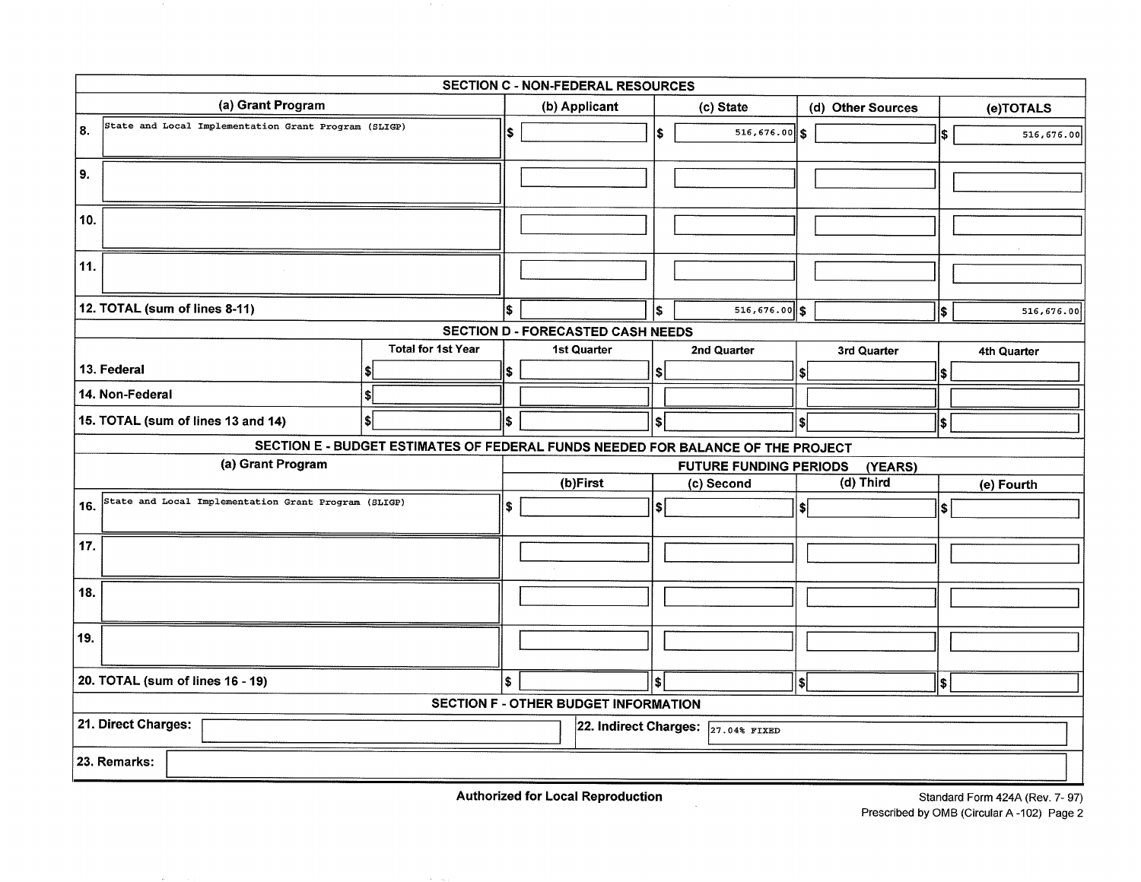| SECTION C - NON-FEDERAL RESOURCES                            |                                                                                 |     |                                             |     |                                    |                   |             |           |             |  |
|--------------------------------------------------------------|---------------------------------------------------------------------------------|-----|---------------------------------------------|-----|------------------------------------|-------------------|-------------|-----------|-------------|--|
| (a) Grant Program                                            |                                                                                 |     | (b) Applicant                               |     | (c) State                          | (d) Other Sources |             | (e)TOTALS |             |  |
| State and Local Implementation Grant Program (SLIGP)<br>l 8. |                                                                                 | \$  |                                             | l\$ | $516, 676.00$ \$                   |                   |             | \$        | 516,676.00  |  |
| 9.                                                           |                                                                                 |     |                                             |     |                                    |                   |             |           |             |  |
| 10.                                                          |                                                                                 |     |                                             |     |                                    |                   |             |           |             |  |
| 11.                                                          |                                                                                 |     |                                             |     |                                    |                   |             |           |             |  |
| 12. TOTAL (sum of lines 8-11)                                |                                                                                 |     |                                             | l\$ | $516, 676.00$ \$                   |                   |             | \$        | 516,676.00  |  |
|                                                              |                                                                                 |     | SECTION D - FORECASTED CASH NEEDS           |     |                                    |                   |             |           |             |  |
|                                                              | <b>Total for 1st Year</b>                                                       |     | <b>1st Quarter</b>                          |     | 2nd Quarter                        |                   | 3rd Quarter |           | 4th Quarter |  |
| 13. Federal                                                  |                                                                                 | 1\$ |                                             | s   |                                    |                   |             |           |             |  |
| 14. Non-Federal                                              |                                                                                 |     |                                             |     |                                    |                   |             |           |             |  |
| 15. TOTAL (sum of lines 13 and 14)                           |                                                                                 | \$  |                                             | \$  |                                    | <sup>\$</sup>     |             | \$        |             |  |
|                                                              | SECTION E - BUDGET ESTIMATES OF FEDERAL FUNDS NEEDED FOR BALANCE OF THE PROJECT |     |                                             |     |                                    |                   |             |           |             |  |
| (a) Grant Program                                            |                                                                                 |     |                                             |     | <b>FUTURE FUNDING PERIODS</b>      |                   | (YEARS)     |           |             |  |
|                                                              |                                                                                 |     | (b)First                                    |     | (c) Second                         |                   | (d) Third   |           | (e) Fourth  |  |
| State and Local Implementation Grant Program (SLIGP)<br>16.  |                                                                                 | \$  |                                             | \$  |                                    |                   |             | \$        |             |  |
| 17.                                                          |                                                                                 |     |                                             |     |                                    |                   |             |           |             |  |
| 18.                                                          |                                                                                 |     |                                             |     |                                    |                   |             |           |             |  |
| 19.                                                          |                                                                                 |     |                                             |     |                                    |                   |             |           |             |  |
| 20. TOTAL (sum of lines 16 - 19)                             |                                                                                 | \$  |                                             | l\$ |                                    | \$                |             | l\$       |             |  |
|                                                              |                                                                                 |     | <b>SECTION F - OTHER BUDGET INFORMATION</b> |     |                                    |                   |             |           |             |  |
| 21. Direct Charges:                                          |                                                                                 |     |                                             |     | 22. Indirect Charges: 27.04% FIXED |                   |             |           |             |  |
| 23. Remarks:                                                 |                                                                                 |     |                                             |     |                                    |                   |             |           |             |  |